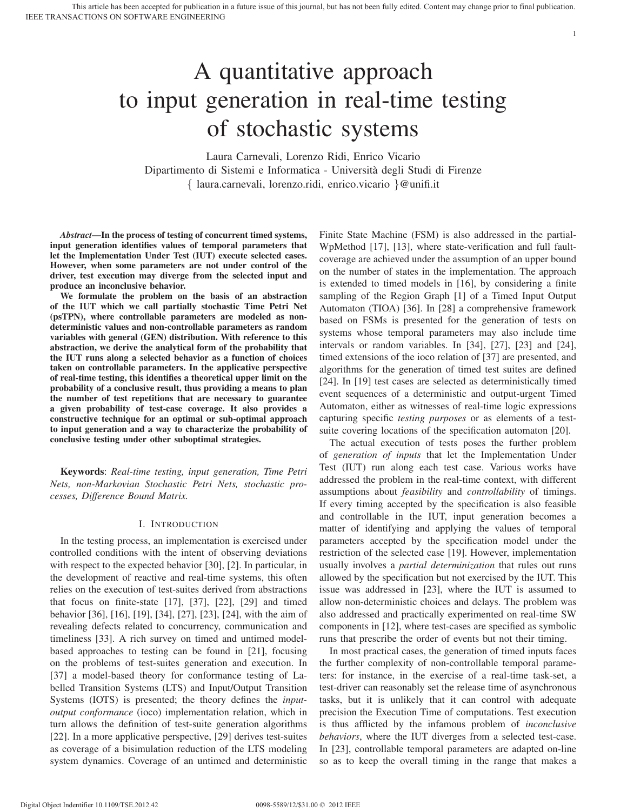Laura Carnevali, Lorenzo Ridi, Enrico Vicario Dipartimento di Sistemi e Informatica - Universita degli Studi di Firenze ` { laura.carnevali, lorenzo.ridi, enrico.vicario }@unifi.it

*Abstract*—In the process of testing of concurrent timed systems, input generation identifies values of temporal parameters that let the Implementation Under Test (IUT) execute selected cases. However, when some parameters are not under control of the driver, test execution may diverge from the selected input and produce an inconclusive behavior.

We formulate the problem on the basis of an abstraction of the IUT which we call partially stochastic Time Petri Net (psTPN), where controllable parameters are modeled as nondeterministic values and non-controllable parameters as random variables with general (GEN) distribution. With reference to this abstraction, we derive the analytical form of the probability that the IUT runs along a selected behavior as a function of choices taken on controllable parameters. In the applicative perspective of real-time testing, this identifies a theoretical upper limit on the probability of a conclusive result, thus providing a means to plan the number of test repetitions that are necessary to guarantee a given probability of test-case coverage. It also provides a constructive technique for an optimal or sub-optimal approach to input generation and a way to characterize the probability of conclusive testing under other suboptimal strategies.

Keywords: *Real-time testing, input generation, Time Petri Nets, non-Markovian Stochastic Petri Nets, stochastic processes, Difference Bound Matrix.*

## I. INTRODUCTION

In the testing process, an implementation is exercised under controlled conditions with the intent of observing deviations with respect to the expected behavior [30], [2]. In particular, in the development of reactive and real-time systems, this often relies on the execution of test-suites derived from abstractions that focus on finite-state [17], [37], [22], [29] and timed behavior [36], [16], [19], [34], [27], [23], [24], with the aim of revealing defects related to concurrency, communication and timeliness [33]. A rich survey on timed and untimed modelbased approaches to testing can be found in [21], focusing on the problems of test-suites generation and execution. In [37] a model-based theory for conformance testing of Labelled Transition Systems (LTS) and Input/Output Transition Systems (IOTS) is presented; the theory defines the *inputoutput conformance* (ioco) implementation relation, which in turn allows the definition of test-suite generation algorithms [22]. In a more applicative perspective, [29] derives test-suites as coverage of a bisimulation reduction of the LTS modeling system dynamics. Coverage of an untimed and deterministic Finite State Machine (FSM) is also addressed in the partial-WpMethod [17], [13], where state-verification and full faultcoverage are achieved under the assumption of an upper bound on the number of states in the implementation. The approach is extended to timed models in [16], by considering a finite sampling of the Region Graph [1] of a Timed Input Output Automaton (TIOA) [36]. In [28] a comprehensive framework based on FSMs is presented for the generation of tests on systems whose temporal parameters may also include time intervals or random variables. In [34], [27], [23] and [24], timed extensions of the ioco relation of [37] are presented, and algorithms for the generation of timed test suites are defined [24]. In [19] test cases are selected as deterministically timed event sequences of a deterministic and output-urgent Timed Automaton, either as witnesses of real-time logic expressions capturing specific *testing purposes* or as elements of a testsuite covering locations of the specification automaton [20].

1

The actual execution of tests poses the further problem of *generation of inputs* that let the Implementation Under Test (IUT) run along each test case. Various works have addressed the problem in the real-time context, with different assumptions about *feasibility* and *controllability* of timings. If every timing accepted by the specification is also feasible and controllable in the IUT, input generation becomes a matter of identifying and applying the values of temporal parameters accepted by the specification model under the restriction of the selected case [19]. However, implementation usually involves a *partial determinization* that rules out runs allowed by the specification but not exercised by the IUT. This issue was addressed in [23], where the IUT is assumed to allow non-deterministic choices and delays. The problem was also addressed and practically experimented on real-time SW components in [12], where test-cases are specified as symbolic runs that prescribe the order of events but not their timing.

In most practical cases, the generation of timed inputs faces the further complexity of non-controllable temporal parameters: for instance, in the exercise of a real-time task-set, a test-driver can reasonably set the release time of asynchronous tasks, but it is unlikely that it can control with adequate precision the Execution Time of computations. Test execution is thus afflicted by the infamous problem of *inconclusive behaviors*, where the IUT diverges from a selected test-case. In [23], controllable temporal parameters are adapted on-line so as to keep the overall timing in the range that makes a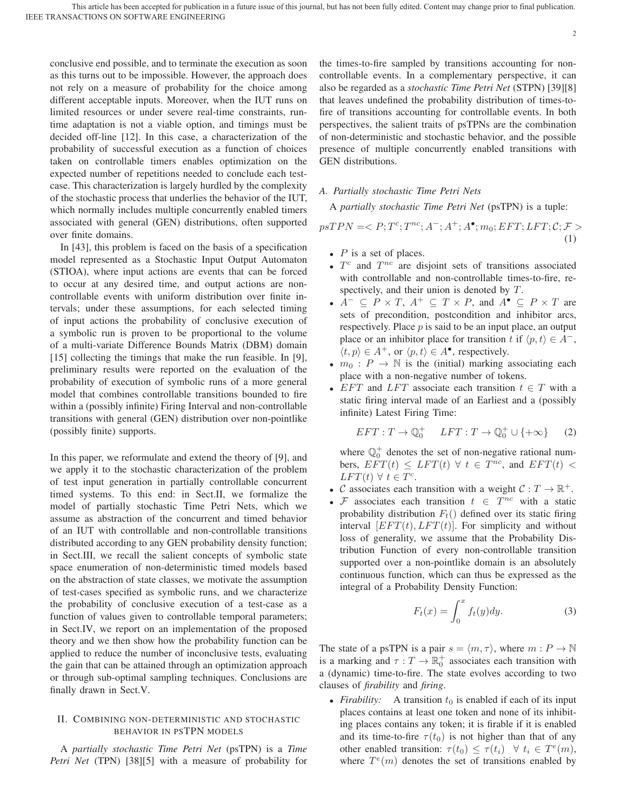conclusive end possible, and to terminate the execution as soon as this turns out to be impossible. However, the approach does not rely on a measure of probability for the choice among different acceptable inputs. Moreover, when the IUT runs on limited resources or under severe real-time constraints, runtime adaptation is not a viable option, and timings must be decided off-line [12]. In this case, a characterization of the probability of successful execution as a function of choices taken on controllable timers enables optimization on the expected number of repetitions needed to conclude each testcase. This characterization is largely hurdled by the complexity of the stochastic process that underlies the behavior of the IUT, which normally includes multiple concurrently enabled timers associated with general (GEN) distributions, often supported over finite domains.

In [43], this problem is faced on the basis of a specification model represented as a Stochastic Input Output Automaton (STIOA), where input actions are events that can be forced to occur at any desired time, and output actions are noncontrollable events with uniform distribution over finite intervals; under these assumptions, for each selected timing of input actions the probability of conclusive execution of a symbolic run is proven to be proportional to the volume of a multi-variate Difference Bounds Matrix (DBM) domain [15] collecting the timings that make the run feasible. In [9], preliminary results were reported on the evaluation of the probability of execution of symbolic runs of a more general model that combines controllable transitions bounded to fire within a (possibly infinite) Firing Interval and non-controllable transitions with general (GEN) distribution over non-pointlike (possibly finite) supports.

In this paper, we reformulate and extend the theory of [9], and we apply it to the stochastic characterization of the problem of test input generation in partially controllable concurrent timed systems. To this end: in Sect.II, we formalize the model of partially stochastic Time Petri Nets, which we assume as abstraction of the concurrent and timed behavior of an IUT with controllable and non-controllable transitions distributed according to any GEN probability density function; in Sect.III, we recall the salient concepts of symbolic state space enumeration of non-deterministic timed models based on the abstraction of state classes, we motivate the assumption of test-cases specified as symbolic runs, and we characterize the probability of conclusive execution of a test-case as a function of values given to controllable temporal parameters; in Sect.IV, we report on an implementation of the proposed theory and we then show how the probability function can be applied to reduce the number of inconclusive tests, evaluating the gain that can be attained through an optimization approach or through sub-optimal sampling techniques. Conclusions are finally drawn in Sect.V.

# II. COMBINING NON-DETERMINISTIC AND STOCHASTIC BEHAVIOR IN PSTPN MODELS

A *partially stochastic Time Petri Net* (psTPN) is a *Time Petri Net* (TPN) [38][5] with a measure of probability for the times-to-fire sampled by transitions accounting for noncontrollable events. In a complementary perspective, it can also be regarded as a *stochastic Time Petri Net* (STPN) [39][8] that leaves undefined the probability distribution of times-tofire of transitions accounting for controllable events. In both perspectives, the salient traits of psTPNs are the combination of non-deterministic and stochastic behavior, and the possible presence of multiple concurrently enabled transitions with GEN distributions.

# *A. Partially stochastic Time Petri Nets*

A *partially stochastic Time Petri Net* (psTPN) is a tuple:

$$
psTPN =  (1)
$$

- $P$  is a set of places.
- $T^c$  and  $T^{nc}$  are disjoint sets of transitions associated with controllable and non-controllable times-to-fire, respectively, and their union is denoted by T.
- $A^- \subseteq P \times T$ ,  $A^+ \subseteq T \times P$ , and  $A^{\bullet} \subseteq P \times T$  are sets of precondition, postcondition and inhibitor arcs, respectively. Place  $p$  is said to be an input place, an output place or an inhibitor place for transition t if  $\langle p, t \rangle \in A^-$ ,  $\langle t, p \rangle \in A^+$ , or  $\langle p, t \rangle \in A^{\bullet}$ , respectively.
- $m_0$ :  $P \rightarrow \mathbb{N}$  is the (initial) marking associating each place with a non-negative number of tokens.
- EFT and LFT associate each transition  $t \in T$  with a static firing interval made of an Earliest and a (possibly infinite) Latest Firing Time:

$$
EFT: T \to \mathbb{Q}_0^+ \quad LFT: T \to \mathbb{Q}_0^+ \cup \{+\infty\} \qquad (2)
$$

where  $\mathbb{Q}_0^+$  denotes the set of non-negative rational numbers,  $EFT(t) \leq LFT(t) \forall t \in T^{nc}$ , and  $EFT(t) <$  $LFT(t)$   $\forall$   $t \in T^c$ .

- C associates each transition with a weight  $C: T \to \mathbb{R}^+$ .
- F associates each transition  $t \in T^{nc}$  with a static probability distribution  $F_t()$  defined over its static firing interval  $[EFT(t), LFT(t)]$ . For simplicity and without loss of generality, we assume that the Probability Distribution Function of every non-controllable transition supported over a non-pointlike domain is an absolutely continuous function, which can thus be expressed as the integral of a Probability Density Function:

$$
F_t(x) = \int_0^x f_t(y) dy.
$$
 (3)

The state of a psTPN is a pair  $s = \langle m, \tau \rangle$ , where  $m : P \to \mathbb{N}$ is a marking and  $\tau: T \to \mathbb{R}^+_0$  associates each transition with a (dynamic) time-to-fire. The state evolves according to two clauses of *firability* and *firing*.

• *Firability:* A transition  $t_0$  is enabled if each of its input places contains at least one token and none of its inhibiting places contains any token; it is firable if it is enabled and its time-to-fire  $\tau(t_0)$  is not higher than that of any other enabled transition:  $\tau(t_0) \leq \tau(t_i) \quad \forall \ t_i \in T^e(m)$ , where  $T^{e}(m)$  denotes the set of transitions enabled by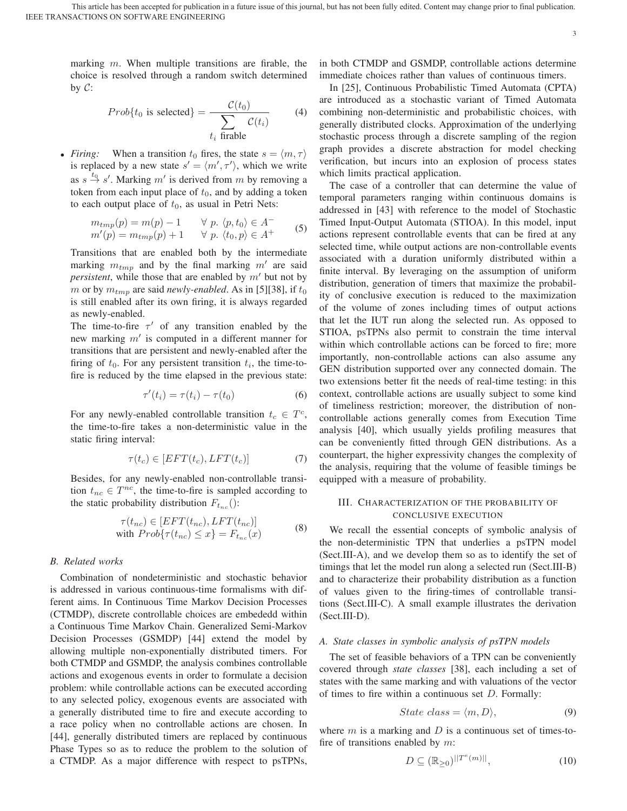marking  $m$ . When multiple transitions are firable, the choice is resolved through a random switch determined by  $C$ :

$$
Prob\{t_0 \text{ is selected}\} = \frac{\mathcal{C}(t_0)}{\sum_{t_i \text{ frable}} \mathcal{C}(t_i)} \tag{4}
$$

• *Firing:* When a transition  $t_0$  fires, the state  $s = \langle m, \tau \rangle$ is replaced by a new state  $s' = \langle m', \tau' \rangle$ , which we write as  $s \stackrel{t_0}{\rightarrow} s'$ . Marking m' is derived from m by removing a token from each input place of  $t_0$ , and by adding a token to each output place of  $t_0$ , as usual in Petri Nets:

$$
m_{tmp}(p) = m(p) - 1 \qquad \forall p. \langle p, t_0 \rangle \in A^-
$$
  
\n
$$
m'(p) = m_{tmp}(p) + 1 \qquad \forall p. \langle t_0, p \rangle \in A^+
$$
\n(5)

Transitions that are enabled both by the intermediate marking  $m_{tmp}$  and by the final marking  $m'$  are said *persistent*, while those that are enabled by  $m'$  but not by m or by  $m_{tmp}$  are said *newly-enabled*. As in [5][38], if  $t_0$ is still enabled after its own firing, it is always regarded as newly-enabled.

The time-to-fire  $\tau'$  of any transition enabled by the new marking  $m'$  is computed in a different manner for transitions that are persistent and newly-enabled after the firing of  $t_0$ . For any persistent transition  $t_i$ , the time-tofire is reduced by the time elapsed in the previous state:

$$
\tau'(t_i) = \tau(t_i) - \tau(t_0) \tag{6}
$$

For any newly-enabled controllable transition  $t_c \in T^c$ , the time-to-fire takes a non-deterministic value in the static firing interval:

$$
\tau(t_c) \in [EFT(t_c), LFT(t_c)]\tag{7}
$$

Besides, for any newly-enabled non-controllable transition  $t_{nc} \in T^{nc}$ , the time-to-fire is sampled according to the static probability distribution  $F_{t_{nc}}($ :

$$
\tau(t_{nc}) \in [EFT(t_{nc}), LFT(t_{nc})]
$$
  
with  $Prob{\tau(t_{nc}) \le x} = F_{t_{nc}}(x)$  (8)

### *B. Related works*

Combination of nondeterministic and stochastic behavior is addressed in various continuous-time formalisms with different aims. In Continuous Time Markov Decision Processes (CTMDP), discrete controllable choices are embededd within a Continuous Time Markov Chain. Generalized Semi-Markov Decision Processes (GSMDP) [44] extend the model by allowing multiple non-exponentially distributed timers. For both CTMDP and GSMDP, the analysis combines controllable actions and exogenous events in order to formulate a decision problem: while controllable actions can be executed according to any selected policy, exogenous events are associated with a generally distributed time to fire and execute according to a race policy when no controllable actions are chosen. In [44], generally distributed timers are replaced by continuous Phase Types so as to reduce the problem to the solution of a CTMDP. As a major difference with respect to psTPNs, in both CTMDP and GSMDP, controllable actions determine immediate choices rather than values of continuous timers.

3

In [25], Continuous Probabilistic Timed Automata (CPTA) are introduced as a stochastic variant of Timed Automata combining non-deterministic and probabilistic choices, with generally distributed clocks. Approximation of the underlying stochastic process through a discrete sampling of the region graph provides a discrete abstraction for model checking verification, but incurs into an explosion of process states which limits practical application.

The case of a controller that can determine the value of temporal parameters ranging within continuous domains is addressed in [43] with reference to the model of Stochastic Timed Input-Output Automata (STIOA). In this model, input actions represent controllable events that can be fired at any selected time, while output actions are non-controllable events associated with a duration uniformly distributed within a finite interval. By leveraging on the assumption of uniform distribution, generation of timers that maximize the probability of conclusive execution is reduced to the maximization of the volume of zones including times of output actions that let the IUT run along the selected run. As opposed to STIOA, psTPNs also permit to constrain the time interval within which controllable actions can be forced to fire; more importantly, non-controllable actions can also assume any GEN distribution supported over any connected domain. The two extensions better fit the needs of real-time testing: in this context, controllable actions are usually subject to some kind of timeliness restriction; moreover, the distribution of noncontrollable actions generally comes from Execution Time analysis [40], which usually yields profiling measures that can be conveniently fitted through GEN distributions. As a counterpart, the higher expressivity changes the complexity of the analysis, requiring that the volume of feasible timings be equipped with a measure of probability.

# III. CHARACTERIZATION OF THE PROBABILITY OF CONCLUSIVE EXECUTION

We recall the essential concepts of symbolic analysis of the non-deterministic TPN that underlies a psTPN model (Sect.III-A), and we develop them so as to identify the set of timings that let the model run along a selected run (Sect.III-B) and to characterize their probability distribution as a function of values given to the firing-times of controllable transitions (Sect.III-C). A small example illustrates the derivation (Sect.III-D).

# *A. State classes in symbolic analysis of psTPN models*

The set of feasible behaviors of a TPN can be conveniently covered through *state classes* [38], each including a set of states with the same marking and with valuations of the vector of times to fire within a continuous set  $D$ . Formally:

$$
State \ class = \langle m, D \rangle,
$$
 (9)

where  $m$  is a marking and  $D$  is a continuous set of times-tofire of transitions enabled by  $m$ :

$$
D \subseteq (\mathbb{R}_{\geq 0})^{\lvert T^{e}(m) \rvert}, \tag{10}
$$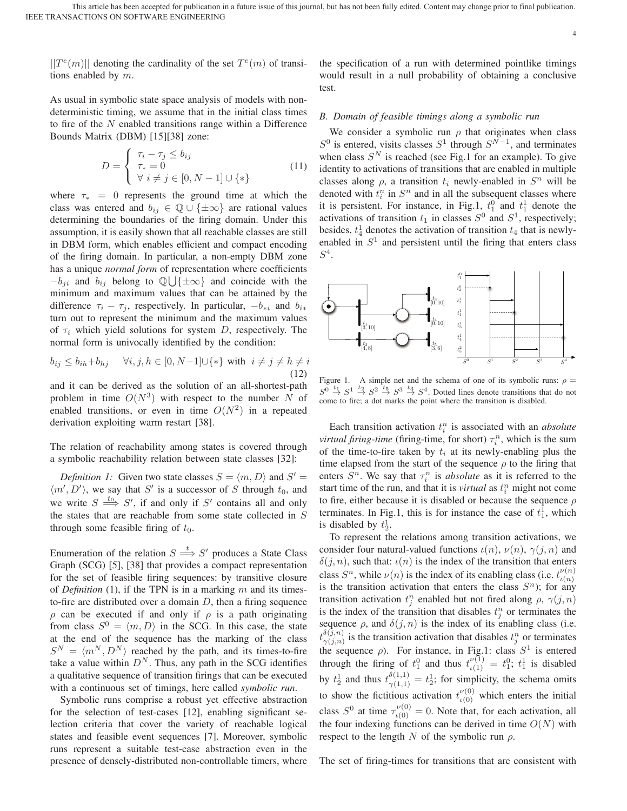$||T^e(m)||$  denoting the cardinality of the set  $T^e(m)$  of transitions enabled by  $m$ .

As usual in symbolic state space analysis of models with nondeterministic timing, we assume that in the initial class times to fire of the  $N$  enabled transitions range within a Difference Bounds Matrix (DBM) [15][38] zone:

$$
D = \begin{cases} \tau_i - \tau_j \le b_{ij} \\ \tau_* = 0 \\ \forall i \ne j \in [0, N-1] \cup \{*\} \end{cases}
$$
(11)

where  $\tau_* = 0$  represents the ground time at which the class was entered and  $b_{ij} \in \mathbb{Q} \cup \{\pm \infty\}$  are rational values determining the boundaries of the firing domain. Under this assumption, it is easily shown that all reachable classes are still in DBM form, which enables efficient and compact encoding of the firing domain. In particular, a non-empty DBM zone has a unique *normal form* of representation where coefficients  $-b_{ji}$  and  $b_{ij}$  belong to  $\mathbb{Q}\bigcup{\{\pm\infty\}}$  and coincide with the minimum and maximum values that can be attained by the difference  $\tau_i - \tau_j$ , respectively. In particular,  $-b_{*i}$  and  $b_{i*}$ turn out to represent the minimum and the maximum values of  $\tau_i$  which yield solutions for system D, respectively. The normal form is univocally identified by the condition:

$$
b_{ij} \le b_{ih} + b_{hj} \quad \forall i, j, h \in [0, N-1] \cup \{*\} \text{ with } i \ne j \ne h \ne i
$$
\n(12)

and it can be derived as the solution of an all-shortest-path problem in time  $O(N^3)$  with respect to the number N of enabled transitions, or even in time  $O(N^2)$  in a repeated derivation exploiting warm restart [38].

The relation of reachability among states is covered through a symbolic reachability relation between state classes [32]:

*Definition 1:* Given two state classes  $S = \langle m, D \rangle$  and  $S' =$  $\langle m', D' \rangle$ , we say that S' is a successor of S through  $t_0$ , and we write  $S \stackrel{t_0}{\Longrightarrow} S'$ , if and only if S' contains all and only the states that are reachable from some state collected in S through some feasible firing of  $t_0$ .

Enumeration of the relation  $S \stackrel{t}{\Longrightarrow} S'$  produces a State Class Graph (SCG) [5], [38] that provides a compact representation for the set of feasible firing sequences: by transitive closure of *Definition* (1), if the TPN is in a marking  $m$  and its timesto-fire are distributed over a domain  $D$ , then a firing sequence ρ can be executed if and only if ρ is a path originating from class  $S^0 = \langle m, D \rangle$  in the SCG. In this case, the state at the end of the sequence has the marking of the class  $S^N = \langle m^N, D^N \rangle$  reached by the path, and its times-to-fire take a value within  $D<sup>N</sup>$ . Thus, any path in the SCG identifies a qualitative sequence of transition firings that can be executed with a continuous set of timings, here called *symbolic run*.

Symbolic runs comprise a robust yet effective abstraction for the selection of test-cases [12], enabling significant selection criteria that cover the variety of reachable logical states and feasible event sequences [7]. Moreover, symbolic runs represent a suitable test-case abstraction even in the presence of densely-distributed non-controllable timers, where the specification of a run with determined pointlike timings would result in a null probability of obtaining a conclusive test.

4

# *B. Domain of feasible timings along a symbolic run*

We consider a symbolic run  $\rho$  that originates when class  $S^0$  is entered, visits classes  $S^1$  through  $S^{N-1}$ , and terminates when class  $S<sup>N</sup>$  is reached (see Fig.1 for an example). To give identity to activations of transitions that are enabled in multiple classes along  $\rho$ , a transition  $t_i$  newly-enabled in  $S^n$  will be denoted with  $t_i^n$  in  $S^n$  and in all the subsequent classes where it is persistent. For instance, in Fig.1,  $t_1^0$  and  $t_1^1$  denote the activations of transition  $t_1$  in classes  $S^0$  and  $S^1$ , respectively; besides,  $t_4$  denotes the activation of transition  $t_4$  that is newlyenabled in  $S<sup>1</sup>$  and persistent until the firing that enters class  $S^4$ .



Figure 1. A simple net and the schema of one of its symbolic runs:  $\rho =$  $S^0 \stackrel{t_1}{\rightarrow} S^1 \stackrel{t_2}{\rightarrow} S^2 \stackrel{t_5}{\rightarrow} S^3 \stackrel{t_3}{\rightarrow} S^4$ . Dotted lines denote transitions that do not come to fire; a dot marks the point where the transition is disabled.

Each transition activation  $t_i^n$  is associated with an *absolute virtual firing-time* (firing-time, for short)  $\tau_i^n$ , which is the sum of the time-to-fire taken by  $t_i$  at its newly-enabling plus the time elapsed from the start of the sequence  $\rho$  to the firing that enters  $S<sup>n</sup>$ . We say that  $\tau_i^n$  is *absolute* as it is referred to the start time of the run, and that it is *virtual* as  $t_i^n$  might not come to fire, either because it is disabled or because the sequence  $\rho$ terminates. In Fig.1, this is for instance the case of  $t_1^{\hat{1}}$ , which is disabled by  $t_2^1$ .

To represent the relations among transition activations, we consider four natural-valued functions  $\iota(n)$ ,  $\nu(n)$ ,  $\gamma(j, n)$  and  $\delta(j, n)$ , such that:  $\iota(n)$  is the index of the transition that enters class  $S^n$ , while  $\nu(n)$  is the index of its enabling class (i.e.  $t^{\nu(n)}_{\nu(n)}$ )  $\iota(n)$ is the transition activation that enters the class  $S<sup>n</sup>$ ); for any transition activation  $t_j^n$  enabled but not fired along  $\rho$ ,  $\gamma(j, n)$ is the index of the transition that disables  $t_j^n$  or terminates the sequence  $\rho$ , and  $\delta(j, n)$  is the index of its enabling class (i.e.  $t^{\delta(j,n)}_{\gamma(j,n)}$  is the transition activation that disables  $t_j^n$  or terminates the sequence  $\rho$ ). For instance, in Fig.1: class  $S^1$  is entered through the firing of  $t_1^0$  and thus  $t_{\iota(1)}^{\nu(1)} = t_1^0$ ;  $t_1^1$  is disabled by  $t_2^1$  and thus  $t_{\gamma(1,1)}^{(\delta(1,1))} = t_2^1$ ; for simplicity, the schema omits to show the fictitious activation  $t_{\iota(0)}^{\nu(0)}$  which enters the initial class  $S^0$  at time  $\tau_{\iota(0)}^{\nu(0)} = 0$ . Note that, for each activation, all the four indexing functions can be derived in time  $O(N)$  with respect to the length N of the symbolic run  $\rho$ .

The set of firing-times for transitions that are consistent with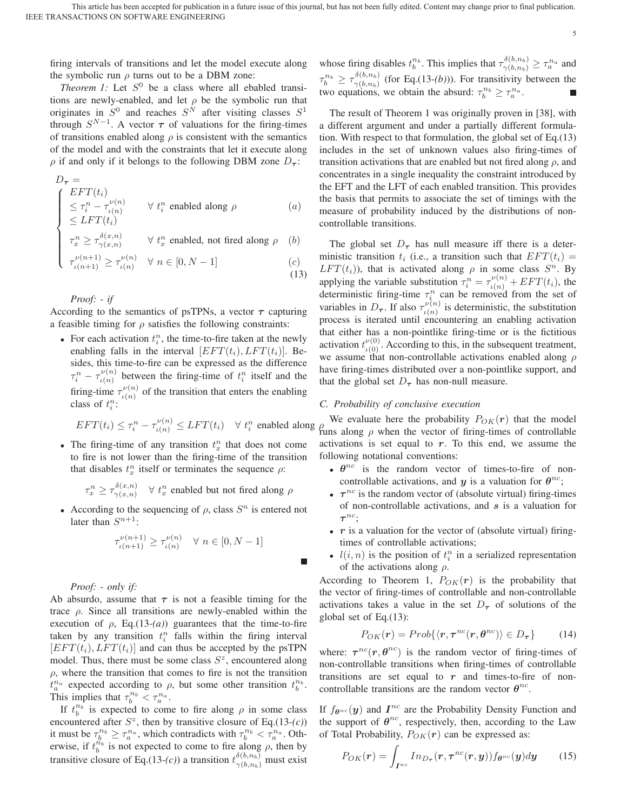г

firing intervals of transitions and let the model execute along the symbolic run  $\rho$  turns out to be a DBM zone:

*Theorem 1:* Let  $S^0$  be a class where all ebabled transitions are newly-enabled, and let  $\rho$  be the symbolic run that originates in  $S^0$  and reaches  $S^N$  after visiting classes  $S^1$ through  $S^{N-1}$ . A vector  $\tau$  of valuations for the firing-times of transitions enabled along  $\rho$  is consistent with the semantics of the model and with the constraints that let it execute along  $\rho$  if and only if it belongs to the following DBM zone  $D_{\tau}$ :

$$
D_{\tau} = \n\begin{cases} \nEFT(t_i) & \forall t_i^n \text{ enabled along } \rho \\
\leq \tau_i^n - \tau_{\iota(n)}^{\nu(n)} & \forall t_i^n \text{ enabled along } \rho \\
\leq LFT(t_i) & \text{if } \iota(n) \leq \nu(n-1), \quad \forall n \in \mathbb{N} \n\end{cases} \tag{a}
$$

$$
\begin{cases}\n\tau_x^n \ge \tau_{\gamma(x,n)}^{\delta(x,n)} & \forall \ t_x^n \text{ enabled, not fired along } \rho \quad (b) \\
\tau_{\iota(n+1)}^{\nu(n+1)} \ge \tau_{\iota(n)}^{\nu(n)} & \forall \ n \in [0, N-1]\n\end{cases}
$$
\n(c)

$$
\begin{cases} \tau_{\iota(n+1)}^{\nu(n+1)} \ge \tau_{\iota(n)}^{\nu(n)} \quad \forall \ n \in [0, N-1] \end{cases} \tag{c}
$$

*Proof: - if*

According to the semantics of psTPNs, a vector *τ* capturing a feasible timing for  $\rho$  satisfies the following constraints:

• For each activation  $t_i^n$ , the time-to-fire taken at the newly enabling falls in the interval  $[EFT(t_i), LFT(t_i)]$ . Besides, this time-to-fire can be expressed as the difference  $\tau_i^n - \tau_{\iota(n)}^{\nu(n)}$  between the firing-time of  $t_i^n$  itself and the firing-time  $\tau_{\iota(n)}^{\nu(n)}$  of the transition that enters the enabling class of  $t_i^n$ :

$$
EFT(t_i) \le \tau_i^n - \tau_{\iota(n)}^{\nu(n)} \le LFT(t_i) \quad \forall \ t_i^n \text{ enabled along } \rho
$$

• The firing-time of any transition  $t_x^n$  that does not come to fire is not lower than the firing-time of the transition that disables  $t_x^n$  itself or terminates the sequence  $\rho$ :

$$
\tau^n_x \geq \tau^{\delta(x,n)}_{\gamma(x,n)} \quad \forall \ t^n_x \text{ enabled but not fired along } \rho
$$

• According to the sequencing of  $\rho$ , class  $S<sup>n</sup>$  is entered not later than  $S^{n+1}$ :

$$
\tau_{\iota(n+1)}^{\nu(n+1)} \ge \tau_{\iota(n)}^{\nu(n)} \quad \forall \ n \in [0, N-1]
$$

# *Proof: - only if:*

Ab absurdo, assume that  $\tau$  is not a feasible timing for the trace  $ρ$ . Since all transitions are newly-enabled within the execution of  $\rho$ , Eq.(13-(*a*)) guarantees that the time-to-fire taken by any transition  $t_i^n$  falls within the firing interval  $[EFT(t_i), EFT(t_i)]$  and can thus be accepted by the psTPN model. Thus, there must be some class  $S^z$ , encountered along  $\rho$ , where the transition that comes to fire is not the transition  $t_a^{n_a}$  expected according to  $\rho$ , but some other transition  $t_b^{n_b}$ . This implies that  $\tau_b^{n_b} < \tau_a^{n_a}$ .

If  $t_b^{n_b}$  is expected to come to fire along  $\rho$  in some class encountered after  $S^z$ , then by transitive closure of Eq.(13-(c)) it must be  $\tau_b^{n_b} \ge \tau_a^{n_a}$ , which contradicts with  $\tau_b^{n_b} < \tau_a^{n_a}$ . Otherwise, if  $t_b^{\vec{n}_b}$  is not expected to come to fire along  $\rho$ , then by transitive closure of Eq.(13-(c)) a transition  $t_{\gamma(b,n_b)}^{\delta(b,n_b)}$  must exist whose firing disables  $t_b^{n_b}$ . This implies that  $\tau_{\gamma(b,n_b)}^{\delta(b,n_b)} \geq \tau_a^{n_a}$  and  $\tau_b^{n_b} \ge \tau_{\gamma(b,n_b)}^{\delta(b,n_b)}$  (for Eq.(13-(b))). For transitivity between the two equations, we obtain the absurd:  $\tau_b^{n_b} \geq \tau_a^{n_a}$ .

5

The result of Theorem 1 was originally proven in [38], with a different argument and under a partially different formulation. With respect to that formulation, the global set of Eq.(13) includes in the set of unknown values also firing-times of transition activations that are enabled but not fired along  $\rho$ , and concentrates in a single inequality the constraint introduced by the EFT and the LFT of each enabled transition. This provides the basis that permits to associate the set of timings with the measure of probability induced by the distributions of noncontrollable transitions.

The global set  $D_{\tau}$  has null measure iff there is a deterministic transition  $t_i$  (i.e., a transition such that  $EFT(t_i) =$  $LFT(t_i)$ ), that is activated along  $\rho$  in some class  $S^n$ . By applying the variable substitution  $\tau_i^n = \tau_{\iota(n)}^{\nu(n)} + EFT(t_i)$ , the deterministic firing-time  $\tau_i^n$  can be removed from the set of variables in  $D_{\tau}$ . If also  $\tau_{\iota(n)}^{\nu(n)}$  is deterministic, the substitution process is iterated until encountering an enabling activation that either has a non-pointlike firing-time or is the fictitious activation  $t_{\iota(0)}^{\nu(0)}$ . According to this, in the subsequent treatment, we assume that non-controllable activations enabled along  $\rho$ have firing-times distributed over a non-pointlike support, and that the global set  $D_{\tau}$  has non-null measure.

# *C. Probability of conclusive execution*

We evaluate here the probability  $P_{OK}(r)$  that the model runs along  $\rho$  when the vector of firing-times of controllable activations is set equal to *r*. To this end, we assume the following notational conventions:

- $\theta^{nc}$  is the random vector of times-to-fire of noncontrollable activations, and *y* is a valuation for  $\theta^{nc}$ ;
- $\tau^{nc}$  is the random vector of (absolute virtual) firing-times of non-controllable activations, and *s* is a valuation for *τ* nc;
- *r* is a valuation for the vector of (absolute virtual) firingtimes of controllable activations;
- $l(i, n)$  is the position of  $t_i^n$  in a serialized representation of the activations along  $\rho$ .

According to Theorem 1,  $P_{OK}(r)$  is the probability that the vector of firing-times of controllable and non-controllable activations takes a value in the set  $D_{\tau}$  of solutions of the global set of Eq.(13):

$$
P_{OK}(\mathbf{r}) = Prob\{\langle \mathbf{r}, \boldsymbol{\tau}^{nc}(\mathbf{r}, \boldsymbol{\theta}^{nc})\rangle \in D_{\boldsymbol{\tau}}\}\qquad(14)
$$

where:  $\tau^{nc}(r, \theta^{nc})$  is the random vector of firing-times of non-controllable transitions when firing-times of controllable transitions are set equal to *r* and times-to-fire of noncontrollable transitions are the random vector  $\theta^{nc}$ .

If  $f_{\theta^{nc}}(y)$  and  $I^{nc}$  are the Probability Density Function and the support of  $\theta^{nc}$ , respectively, then, according to the Law of Total Probability,  $P_{OK}(r)$  can be expressed as:

$$
P_{OK}(\boldsymbol{r}) = \int_{\boldsymbol{I}^{nc}} In_{D_{\boldsymbol{\tau}}}(\boldsymbol{r}, \boldsymbol{\tau}^{nc}(\boldsymbol{r}, \boldsymbol{y})) f_{\boldsymbol{\theta}^{nc}}(\boldsymbol{y}) d\boldsymbol{y} \qquad (15)
$$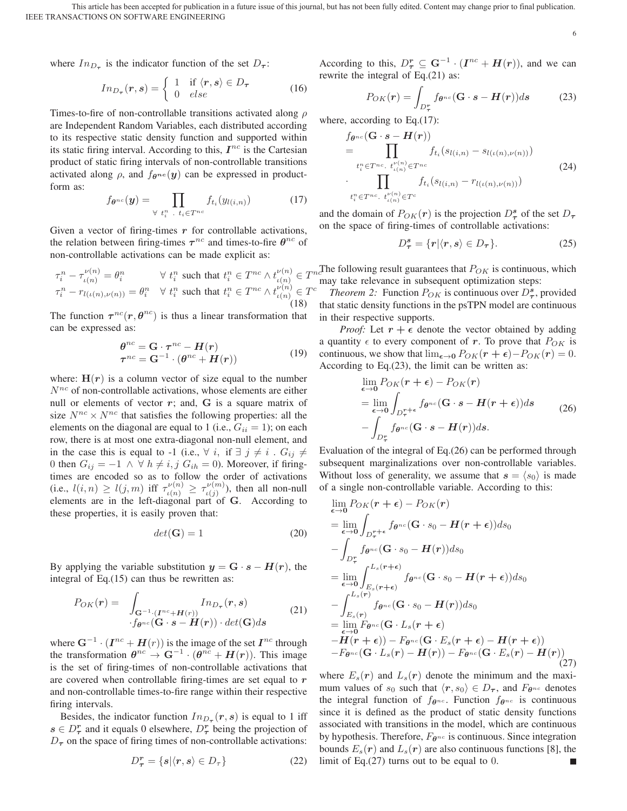IEEE TRANSACTIONS ON SOFTWARE ENGINEERING This article has been accepted for publication in a future issue of this journal, but has not been fully edited. Content may change prior to final publication.

6

where  $In_{D_{\tau}}$  is the indicator function of the set  $D_{\tau}$ :

$$
In_{D_{\tau}}(\mathbf{r}, \mathbf{s}) = \begin{cases} 1 & \text{if } \langle \mathbf{r}, \mathbf{s} \rangle \in D_{\tau} \\ 0 & else \end{cases}
$$
 (16)

Times-to-fire of non-controllable transitions activated along  $\rho$ are Independent Random Variables, each distributed according to its respective static density function and supported within its static firing interval. According to this,  $I^{nc}$  is the Cartesian product of static firing intervals of non-controllable transitions activated along  $\rho$ , and  $f_{\theta^{nc}}(y)$  can be expressed in productform as:

$$
f_{\theta^{nc}}(\mathbf{y}) = \prod_{\forall t_i^n \dots t_i \in T^{nc}} f_{t_i}(y_{l(i,n)}) \tag{17}
$$

Given a vector of firing-times  $r$  for controllable activations, the relation between firing-times  $\tau^{nc}$  and times-to-fire  $\theta^{nc}$  of non-controllable activations can be made explicit as:

$$
\tau_i^n - \tau_{\iota(n)}^{\nu(n)} = \theta_i^n \qquad \forall \ t_i^n \text{ such that } t_i^n \in T^{nc} \wedge t_{\iota(n)}^{\nu(n)} \in T^{nc}
$$
  

$$
\tau_i^n - r_{l(\iota(n),\nu(n))} = \theta_i^n \quad \forall \ t_i^n \text{ such that } t_i^n \in T^{nc} \wedge t_{\iota(n)}^{\nu(n)} \in T^c
$$
  
(18)

The function  $\tau^{nc}(r, \theta^{nc})$  is thus a linear transformation that can be expressed as:

$$
\begin{aligned} \theta^{nc} &= \mathbf{G} \cdot \boldsymbol{\tau}^{nc} - \boldsymbol{H}(r) \\ \boldsymbol{\tau}^{nc} &= \mathbf{G}^{-1} \cdot (\theta^{nc} + \boldsymbol{H}(r)) \end{aligned} \tag{19}
$$

where:  $H(r)$  is a column vector of size equal to the number  $N^{nc}$  of non-controllable activations, whose elements are either null or elements of vector *r*; and, **G** is a square matrix of size  $N^{nc} \times N^{nc}$  that satisfies the following properties: all the elements on the diagonal are equal to 1 (i.e.,  $G_{ii} = 1$ ); on each row, there is at most one extra-diagonal non-null element, and in the case this is equal to -1 (i.e.,  $\forall i$ , if  $\exists j \neq i$ .  $G_{ij} \neq$ 0 then  $G_{ij} = -1 \wedge \forall h \neq i, j \ G_{ih} = 0$ ). Moreover, if firingtimes are encoded so as to follow the order of activations (i.e.,  $l(i, n) \ge l(j, m)$  iff  $\tau_{\iota(n)}^{\nu(n)} \ge \tau_{\iota(j)}^{\nu(m)}$ ), then all non-null elements are in the left-diagonal part of **G**. According to these properties, it is easily proven that:

$$
det(\mathbf{G}) = 1 \tag{20}
$$

By applying the variable substitution  $y = G \cdot s - H(r)$ , the integral of Eq.(15) can thus be rewritten as:

$$
P_{OK}(\mathbf{r}) = \int_{\mathbf{G}^{-1} \cdot (\mathbf{I}^{nc} + \mathbf{H}(r))} In_{D_{\tau}}(\mathbf{r}, s)
$$
(21)  

$$
\cdot f_{\theta^{nc}}(\mathbf{G} \cdot \mathbf{s} - \mathbf{H}(\mathbf{r})) \cdot det(\mathbf{G}) ds
$$

where  $\mathbf{G}^{-1} \cdot (\mathbf{I}^{nc} + \mathbf{H}(r))$  is the image of the set  $\mathbf{I}^{nc}$  through the transformation  $\theta^{nc} \to \mathbf{G}^{-1} \cdot (\theta^{nc} + H(r))$ . This image is the set of firing-times of non-controllable activations that are covered when controllable firing-times are set equal to *r* and non-controllable times-to-fire range within their respective firing intervals.

Besides, the indicator function  $In_{D_{\tau}}(r, s)$  is equal to 1 iff  $s \in D^r_\tau$  and it equals 0 elsewhere,  $D^r_\tau$  being the projection of  $D<sub>\tau</sub>$  on the space of firing times of non-controllable activations:

$$
D^r_{\tau} = \{ s | \langle r, s \rangle \in D_{\tau} \}
$$
 (22)

According to this,  $D^{\mathbf{r}}_{\boldsymbol{\tau}} \subseteq \mathbf{G}^{-1} \cdot (\boldsymbol{I}^{nc} + \boldsymbol{H}(\boldsymbol{r}))$ , and we can rewrite the integral of Eq.(21) as:

$$
P_{OK}(\boldsymbol{r}) = \int_{D_{\boldsymbol{r}}^{\boldsymbol{r}}} f_{\boldsymbol{\theta}^{nc}}(\mathbf{G} \cdot \boldsymbol{s} - \boldsymbol{H}(\boldsymbol{r})) ds \qquad (23)
$$

where, according to Eq.(17):

$$
f_{\theta^{nc}}(\mathbf{G} \cdot \mathbf{s} - \mathbf{H}(r))
$$
\n
$$
= \prod_{t_i^n \in T^{nc} \cdot t_{\iota(n)}^{\nu(n)} \in T^{nc}} f_{t_i}(s_{l(i,n)} - s_{l(\iota(n),\nu(n))})
$$
\n
$$
\cdot \prod_{t_i^n \in T^{nc} \cdot t_{\iota(n)}^{\nu(n)} \in T^c} f_{t_i}(s_{l(i,n)} - r_{l(\iota(n),\nu(n))})
$$
\n
$$
(24)
$$

and the domain of  $P_{OK}(r)$  is the projection  $D^s_{\tau}$  of the set  $D_{\tau}$ on the space of firing-times of controllable activations:

$$
D^s_{\tau} = \{r | \langle r, s \rangle \in D_{\tau} \}.
$$
 (25)

 $n<sub>c</sub>$ The following result guarantees that  $P_{OK}$  is continuous, which may take relevance in subsequent optimization steps:

*Theorem 2:* Function  $P_{OK}$  is continuous over  $D^s_{\tau}$ , provided that static density functions in the psTPN model are continuous in their respective supports.

*Proof:* Let  $r + \epsilon$  denote the vector obtained by adding a quantity  $\epsilon$  to every component of *r*. To prove that  $P_{OK}$  is continuous, we show that  $\lim_{\epsilon \to 0} P_{OK}(r + \epsilon) - P_{OK}(r) = 0$ . According to Eq.(23), the limit can be written as:

$$
\lim_{\epsilon \to 0} P_{OK}(r + \epsilon) - P_{OK}(r)
$$
\n
$$
= \lim_{\epsilon \to 0} \int_{D_{\tau}^{r+\epsilon}} f_{\theta^{nc}}(\mathbf{G} \cdot \mathbf{s} - \mathbf{H}(r + \epsilon)) ds
$$
\n
$$
- \int_{D_{\tau}^{r}} f_{\theta^{nc}}(\mathbf{G} \cdot \mathbf{s} - \mathbf{H}(r)) ds.
$$
\n(26)

Evaluation of the integral of Eq.(26) can be performed through subsequent marginalizations over non-controllable variables. Without loss of generality, we assume that  $s = \langle s_0 \rangle$  is made of a single non-controllable variable. According to this:

$$
\lim_{\epsilon \to 0} P_{OK}(r + \epsilon) - P_{OK}(r)
$$
\n
$$
= \lim_{\epsilon \to 0} \int_{D_{\tau}^{r+\epsilon}} f_{\theta^{nc}}(\mathbf{G} \cdot s_0 - \mathbf{H}(r + \epsilon)) ds_0
$$
\n
$$
- \int_{D_{\tau}^{r}} f_{\theta^{nc}}(\mathbf{G} \cdot s_0 - \mathbf{H}(r)) ds_0
$$
\n
$$
= \lim_{\epsilon \to 0} \int_{E_s(r+\epsilon)} f_{\theta^{nc}}(\mathbf{G} \cdot s_0 - \mathbf{H}(r+\epsilon)) ds_0
$$
\n
$$
- \int_{E_s(r)}^{L_s(r)} f_{\theta^{nc}}(\mathbf{G} \cdot s_0 - \mathbf{H}(r)) ds_0
$$
\n
$$
= \lim_{\epsilon \to 0} F_{\theta^{nc}}(\mathbf{G} \cdot L_s(r + \epsilon))
$$
\n
$$
- \mathbf{H}(r + \epsilon) - \mathbf{H}(r + \epsilon) - \mathbf{H}(r + \epsilon) - \mathbf{H}(r + \epsilon)
$$
\n
$$
- F_{\theta^{nc}}(\mathbf{G} \cdot L_s(r) - \mathbf{H}(r)) - F_{\theta^{nc}}(\mathbf{G} \cdot E_s(r) - \mathbf{H}(r))
$$
\n(27)

where  $E_s(r)$  and  $L_s(r)$  denote the minimum and the maximum values of  $s_0$  such that  $\langle r, s_0 \rangle \in D_\tau$ , and  $F_{\theta^{nc}}$  denotes the integral function of  $f_{\theta^{nc}}$ . Function  $f_{\theta^{nc}}$  is continuous since it is defined as the product of static density functions associated with transitions in the model, which are continuous by hypothesis. Therefore,  $F_{\theta^{nc}}$  is continuous. Since integration bounds  $E_s(\mathbf{r})$  and  $L_s(\mathbf{r})$  are also continuous functions [8], the limit of Eq.(27) turns out to be equal to 0.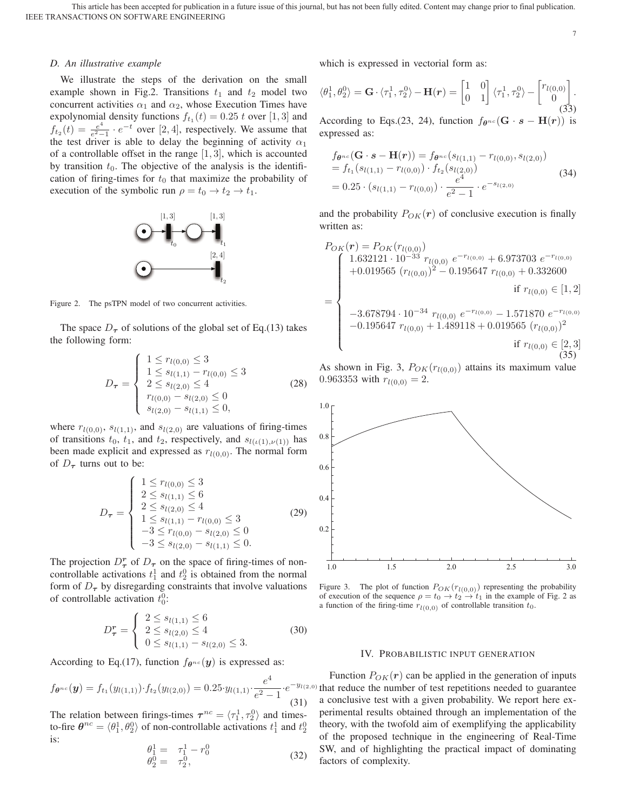IEEE TRANSACTIONS ON SOFTWARE ENGINEERING This article has been accepted for publication in a future issue of this journal, but has not been fully edited. Content may change prior to final publication.

7

#### *D. An illustrative example*

We illustrate the steps of the derivation on the small example shown in Fig.2. Transitions  $t_1$  and  $t_2$  model two concurrent activities  $\alpha_1$  and  $\alpha_2$ , whose Execution Times have expolynomial density functions  $f_{t_1}(t)=0.25$  t over [1, 3] and  $f_{t_2}(t) = \frac{e^4}{e^2-1} \cdot e^{-t}$  over [2, 4], respectively. We assume that the test driver is able to delay the beginning of activity  $\alpha_1$ of a controllable offset in the range  $[1, 3]$ , which is accounted by transition  $t_0$ . The objective of the analysis is the identification of firing-times for  $t_0$  that maximize the probability of execution of the symbolic run  $\rho = t_0 \rightarrow t_2 \rightarrow t_1$ .



Figure 2. The psTPN model of two concurrent activities.

The space  $D_{\tau}$  of solutions of the global set of Eq.(13) takes the following form:

$$
D_{\tau} = \begin{cases} 1 \le r_{l(0,0)} \le 3\\ 1 \le s_{l(1,1)} - r_{l(0,0)} \le 3\\ 2 \le s_{l(2,0)} \le 4\\ r_{l(0,0)} - s_{l(2,0)} \le 0\\ s_{l(2,0)} - s_{l(1,1)} \le 0, \end{cases}
$$
(28)

where  $r_{l(0,0)}$ ,  $s_{l(1,1)}$ , and  $s_{l(2,0)}$  are valuations of firing-times of transitions  $t_0$ ,  $t_1$ , and  $t_2$ , respectively, and  $s_{l(\iota(1),\nu(1))}$  has been made explicit and expressed as  $r_{l(0,0)}$ . The normal form of  $D_{\tau}$  turns out to be:

$$
D_{\tau} = \begin{cases} 1 \le r_{l(0,0)} \le 3 \\ 2 \le s_{l(1,1)} \le 6 \\ 2 \le s_{l(2,0)} \le 4 \\ 1 \le s_{l(1,1)} - r_{l(0,0)} \le 3 \\ -3 \le r_{l(0,0)} - s_{l(2,0)} \le 0 \\ -3 \le s_{l(2,0)} - s_{l(1,1)} \le 0. \end{cases}
$$
(29)

The projection  $D^r_{\tau}$  of  $D_{\tau}$  on the space of firing-times of noncontrollable activations  $t_1$  and  $t_2$  is obtained from the normal form of  $D_{\tau}$  by disregarding constraints that involve valuations of controllable activation  $t_0^0$ :

$$
D_{\tau}^{r} = \begin{cases} 2 \le s_{l(1,1)} \le 6\\ 2 \le s_{l(2,0)} \le 4\\ 0 \le s_{l(1,1)} - s_{l(2,0)} \le 3. \end{cases}
$$
 (30)

According to Eq.(17), function  $f_{\theta^{nc}}(\mathbf{y})$  is expressed as:

$$
f_{\theta^{nc}}(\mathbf{y}) = f_{t_1}(y_{l(1,1)}) \cdot f_{t_2}(y_{l(2,0)}) = 0.25 \cdot y_{l(1,1)} \cdot \frac{e^4}{e^2 - 1} \cdot e^{-y_{l(2)}} \tag{31}
$$

The relation between firings-times  $\tau^{nc} = \langle \tau_1^1, \tau_2^0 \rangle$  and timesto-fire  $\theta^{nc} = \langle \theta_1^1, \theta_2^0 \rangle$  of non-controllable activations  $t_1^1$  and  $t_2^0$ is:

$$
\begin{array}{rcl}\n\theta_1^1 &=& \tau_1^1 - r_0^0 \\
\theta_2^0 &=& \tau_2^0,\n\end{array}\n\tag{32}
$$

which is expressed in vectorial form as:

$$
\langle \theta_1^1, \theta_2^0 \rangle = \mathbf{G} \cdot \langle \tau_1^1, \tau_2^0 \rangle - \mathbf{H}(\mathbf{r}) = \begin{bmatrix} 1 & 0 \\ 0 & 1 \end{bmatrix} \langle \tau_1^1, \tau_2^0 \rangle - \begin{bmatrix} r_{l(0,0)} \\ 0 \end{bmatrix}.
$$
(33)

According to Eqs.(23, 24), function  $f_{\theta^{nc}}(\mathbf{G} \cdot \mathbf{s} - \mathbf{H}(\mathbf{r}))$  is expressed as:

$$
f_{\theta^{nc}}(\mathbf{G} \cdot \mathbf{s} - \mathbf{H}(\mathbf{r})) = f_{\theta^{nc}}(s_{l(1,1)} - r_{l(0,0)}, s_{l(2,0)})
$$
  
=  $f_{t_1}(s_{l(1,1)} - r_{l(0,0)}) \cdot f_{t_2}(s_{l(2,0)})$   
= 0.25  $\cdot (s_{l(1,1)} - r_{l(0,0)}) \cdot \frac{e^4}{e^2 - 1} \cdot e^{-s_{l(2,0)}}$  (34)

and the probability  $P_{OK}(r)$  of conclusive execution is finally written as:

$$
P_{OK}(r) = P_{OK}(r_{l(0,0)})
$$
\n
$$
+ 0.019565 (r_{l(0,0)})^2 - 0.195647 r_{l(0,0)} + 0.332600
$$
\n
$$
= \begin{cases}\n1.632121 \cdot 10^{-33} r_{l(0,0)} e^{-r_{l(0,0)}} + 6.973703 e^{-r_{l(0,0)}} \\
+ 0.019565 (r_{l(0,0)})^2 - 0.195647 r_{l(0,0)} + 0.332600 \\
\text{if } r_{l(0,0)} \in [1,2] \\
- 3.678794 \cdot 10^{-34} r_{l(0,0)} e^{-r_{l(0,0)}} - 1.571870 e^{-r_{l(0,0)}} \\
- 0.195647 r_{l(0,0)} + 1.489118 + 0.019565 (r_{l(0,0)})^2 \\
\text{if } r_{l(0,0)} \in [2,3] \\
(35)\n\end{cases}
$$

As shown in Fig. 3,  $P_{OK}(r_{l(0,0)})$  attains its maximum value 0.963353 with  $r_{l(0,0)} = 2$ .



Figure 3. The plot of function  $P_{OK}(r_{l(0,0)})$  representing the probability of execution of the sequence  $\rho = t_0 \rightarrow t_2 \rightarrow t_1$  in the example of Fig. 2 as a function of the firing-time  $r_{l(0,0)}$  of controllable transition  $t_0$ .

#### IV. PROBABILISTIC INPUT GENERATION

 $\cdot e^{-y_{l(2,0)}}$  that reduce the number of test repetitions needed to guarantee Function  $P_{OK}(r)$  can be applied in the generation of inputs a conclusive test with a given probability. We report here experimental results obtained through an implementation of the theory, with the twofold aim of exemplifying the applicability of the proposed technique in the engineering of Real-Time SW, and of highlighting the practical impact of dominating factors of complexity.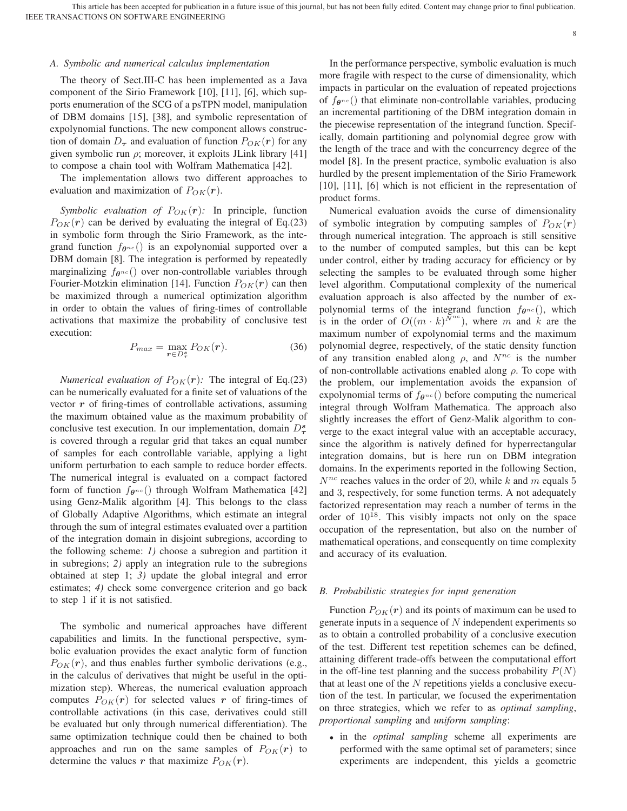#### *A. Symbolic and numerical calculus implementation*

The theory of Sect.III-C has been implemented as a Java component of the Sirio Framework [10], [11], [6], which supports enumeration of the SCG of a psTPN model, manipulation of DBM domains [15], [38], and symbolic representation of expolynomial functions. The new component allows construction of domain  $D_{\tau}$  and evaluation of function  $P_{OK}(r)$  for any given symbolic run  $\rho$ ; moreover, it exploits JLink library [41] to compose a chain tool with Wolfram Mathematica [42].

The implementation allows two different approaches to evaluation and maximization of  $P_{OK}(r)$ .

*Symbolic evaluation of*  $P_{OK}(r)$ : In principle, function  $P_{OK}(r)$  can be derived by evaluating the integral of Eq.(23) in symbolic form through the Sirio Framework, as the integrand function  $f_{\theta^{nc}}($ ) is an expolynomial supported over a DBM domain [8]. The integration is performed by repeatedly marginalizing  $f_{\theta^{nc}}($ ) over non-controllable variables through Fourier-Motzkin elimination [14]. Function  $P_{OK}(r)$  can then be maximized through a numerical optimization algorithm in order to obtain the values of firing-times of controllable activations that maximize the probability of conclusive test execution:

$$
P_{max} = \max_{\mathbf{r} \in D_{\tau}^*} P_{OK}(\mathbf{r}). \tag{36}
$$

*Numerical evaluation of*  $P_{OK}(r)$ : The integral of Eq.(23) can be numerically evaluated for a finite set of valuations of the vector *r* of firing-times of controllable activations, assuming the maximum obtained value as the maximum probability of conclusive test execution. In our implementation, domain D*<sup>s</sup> τ* is covered through a regular grid that takes an equal number of samples for each controllable variable, applying a light uniform perturbation to each sample to reduce border effects. The numerical integral is evaluated on a compact factored form of function  $f_{\theta^{nc}}($ ) through Wolfram Mathematica [42] using Genz-Malik algorithm [4]. This belongs to the class of Globally Adaptive Algorithms, which estimate an integral through the sum of integral estimates evaluated over a partition of the integration domain in disjoint subregions, according to the following scheme: *1)* choose a subregion and partition it in subregions; *2)* apply an integration rule to the subregions obtained at step 1; *3)* update the global integral and error estimates; *4)* check some convergence criterion and go back to step 1 if it is not satisfied.

The symbolic and numerical approaches have different capabilities and limits. In the functional perspective, symbolic evaluation provides the exact analytic form of function  $P_{OK}(r)$ , and thus enables further symbolic derivations (e.g., in the calculus of derivatives that might be useful in the optimization step). Whereas, the numerical evaluation approach computes  $P_{OK}(r)$  for selected values *r* of firing-times of controllable activations (in this case, derivatives could still be evaluated but only through numerical differentiation). The same optimization technique could then be chained to both approaches and run on the same samples of  $P_{OK}(r)$  to determine the values *r* that maximize  $P_{OK}(r)$ .

In the performance perspective, symbolic evaluation is much more fragile with respect to the curse of dimensionality, which impacts in particular on the evaluation of repeated projections of f*θ*nc () that eliminate non-controllable variables, producing an incremental partitioning of the DBM integration domain in the piecewise representation of the integrand function. Specifically, domain partitioning and polynomial degree grow with the length of the trace and with the concurrency degree of the model [8]. In the present practice, symbolic evaluation is also hurdled by the present implementation of the Sirio Framework [10], [11], [6] which is not efficient in the representation of product forms.

Numerical evaluation avoids the curse of dimensionality of symbolic integration by computing samples of  $P_{OK}(r)$ through numerical integration. The approach is still sensitive to the number of computed samples, but this can be kept under control, either by trading accuracy for efficiency or by selecting the samples to be evaluated through some higher level algorithm. Computational complexity of the numerical evaluation approach is also affected by the number of expolynomial terms of the integrand function  $f_{\theta^{nc}}($ ), which is in the order of  $O((m \cdot k)^{\bar{N}^{nc}})$ , where m and k are the maximum number of expolynomial terms and the maximum polynomial degree, respectively, of the static density function of any transition enabled along  $\rho$ , and  $N^{nc}$  is the number of non-controllable activations enabled along  $\rho$ . To cope with the problem, our implementation avoids the expansion of expolynomial terms of  $f_{\theta^{nc}}($ ) before computing the numerical integral through Wolfram Mathematica. The approach also slightly increases the effort of Genz-Malik algorithm to converge to the exact integral value with an acceptable accuracy, since the algorithm is natively defined for hyperrectangular integration domains, but is here run on DBM integration domains. In the experiments reported in the following Section,  $N^{nc}$  reaches values in the order of 20, while k and m equals 5 and 3, respectively, for some function terms. A not adequately factorized representation may reach a number of terms in the order of  $10^{18}$ . This visibly impacts not only on the space occupation of the representation, but also on the number of mathematical operations, and consequently on time complexity and accuracy of its evaluation.

#### *B. Probabilistic strategies for input generation*

Function  $P_{OK}(r)$  and its points of maximum can be used to generate inputs in a sequence of  $N$  independent experiments so as to obtain a controlled probability of a conclusive execution of the test. Different test repetition schemes can be defined, attaining different trade-offs between the computational effort in the off-line test planning and the success probability  $P(N)$ that at least one of the  $N$  repetitions yields a conclusive execution of the test. In particular, we focused the experimentation on three strategies, which we refer to as *optimal sampling*, *proportional sampling* and *uniform sampling*:

• in the *optimal sampling* scheme all experiments are performed with the same optimal set of parameters; since experiments are independent, this yields a geometric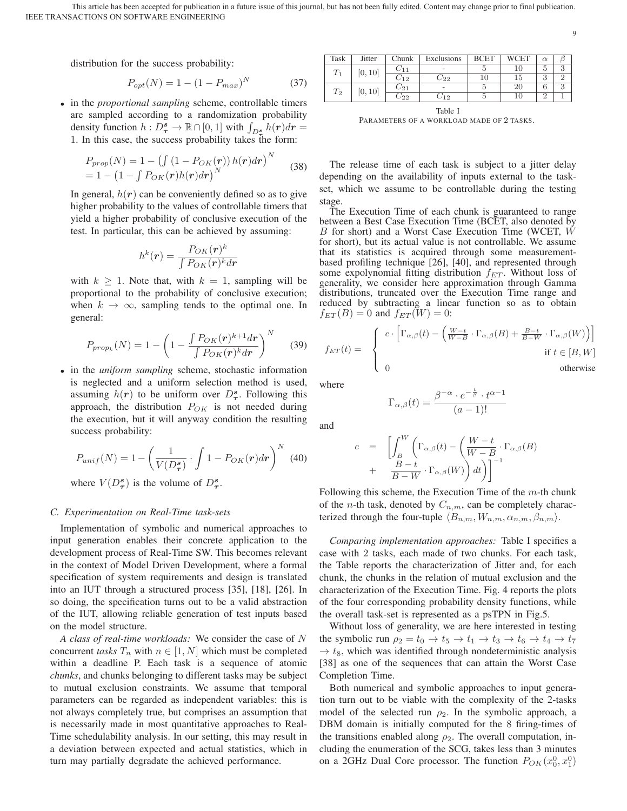9

distribution for the success probability:

$$
P_{opt}(N) = 1 - (1 - P_{max})^N
$$
 (37)

• in the *proportional sampling* scheme, controllable timers are sampled according to a randomization probability density function  $h: D^s_{\tau} \to \mathbb{R} \cap [0, 1]$  with  $\int_{D^s_{\tau}} h(r) dr =$ 1. In this case, the success probability takes the form:

$$
P_{prop}(N) = 1 - ( \int (1 - P_{OK}(r)) h(r) dr )^{N}
$$
  
= 1 - (1 -  $\int P_{OK}(r) h(r) dr$ )<sup>N</sup> (38)

In general,  $h(r)$  can be conveniently defined so as to give higher probability to the values of controllable timers that yield a higher probability of conclusive execution of the test. In particular, this can be achieved by assuming:

$$
h^{k}(\mathbf{r}) = \frac{P_{OK}(\mathbf{r})^{k}}{\int P_{OK}(\mathbf{r})^{k} d\mathbf{r}}
$$

with  $k \geq 1$ . Note that, with  $k = 1$ , sampling will be proportional to the probability of conclusive execution; when  $k \to \infty$ , sampling tends to the optimal one. In general:

$$
P_{prop_k}(N) = 1 - \left(1 - \frac{\int P_{OK}(\mathbf{r})^{k+1} d\mathbf{r}}{\int P_{OK}(\mathbf{r})^k d\mathbf{r}}\right)^N \tag{39}
$$

• in the *uniform sampling* scheme, stochastic information is neglected and a uniform selection method is used, assuming  $h(r)$  to be uniform over  $D^s_\tau$ . Following this approach, the distribution  $P_{OK}$  is not needed during the execution, but it will anyway condition the resulting success probability:

$$
P_{unif}(N) = 1 - \left(\frac{1}{V(D_{\tau}^{s})} \cdot \int 1 - P_{OK}(r) dr\right)^{N}
$$
 (40)

where  $V(D^s_{\tau})$  is the volume of  $D^s_{\tau}$ .

## *C. Experimentation on Real-Time task-sets*

Implementation of symbolic and numerical approaches to input generation enables their concrete application to the development process of Real-Time SW. This becomes relevant in the context of Model Driven Development, where a formal specification of system requirements and design is translated into an IUT through a structured process [35], [18], [26]. In so doing, the specification turns out to be a valid abstraction of the IUT, allowing reliable generation of test inputs based on the model structure.

*A class of real-time workloads:* We consider the case of N concurrent *tasks*  $T_n$  with  $n \in [1, N]$  which must be completed within a deadline P. Each task is a sequence of atomic *chunks*, and chunks belonging to different tasks may be subject to mutual exclusion constraints. We assume that temporal parameters can be regarded as independent variables: this is not always completely true, but comprises an assumption that is necessarily made in most quantitative approaches to Real-Time schedulability analysis. In our setting, this may result in a deviation between expected and actual statistics, which in turn may partially degradate the achieved performance.

| Task               | Jitter  | Chunk       | Exclusions               | <b>BCET</b> | <b>WCET</b> | $\alpha$        |        |
|--------------------|---------|-------------|--------------------------|-------------|-------------|-----------------|--------|
| ⊥ ⊥                | [0,10]  | レ11         | -                        |             |             | 5               |        |
|                    |         | $-12$       | - 22                     | TŪ          |             | $\epsilon$<br>υ |        |
| $\scriptstyle T_2$ | [0, 10] | $^{\sim21}$ | $\overline{\phantom{a}}$ |             | 20          | n               | $\sim$ |
|                    |         | - 22        | 12                       |             |             | $\Omega$        |        |

Table I PARAMETERS OF A WORKLOAD MADE OF 2 TASKS.

The release time of each task is subject to a jitter delay depending on the availability of inputs external to the taskset, which we assume to be controllable during the testing stage.

The Execution Time of each chunk is guaranteed to range between a Best Case Execution Time (BCET, also denoted by B for short) and a Worst Case Execution Time (WCET, W for short), but its actual value is not controllable. We assume that its statistics is acquired through some measurementbased profiling technique [26], [40], and represented through some expolynomial fitting distribution  $f_{ET}$ . Without loss of generality, we consider here approximation through Gamma distributions, truncated over the Execution Time range and reduced by subtracting a linear function so as to obtain  $f_{ET}(B)=0$  and  $f_{ET}(\overline{W})=0$ :

$$
f_{ET}(t) = \begin{cases} c \cdot \left[ \Gamma_{\alpha,\beta}(t) - \left( \frac{W-t}{W-B} \cdot \Gamma_{\alpha,\beta}(B) + \frac{B-t}{B-W} \cdot \Gamma_{\alpha,\beta}(W) \right) \right] \\ 0 & \text{if } t \in [B, W] \\ 0 & \text{otherwise} \end{cases}
$$

where

$$
\Gamma_{\alpha,\beta}(t) = \frac{\beta^{-\alpha} \cdot e^{-\frac{t}{\beta}} \cdot t^{\alpha - 1}}{(a - 1)!}
$$

and

$$
c = \left[ \int_{B}^{W} \left( \Gamma_{\alpha,\beta}(t) - \left( \frac{W - t}{W - B} \cdot \Gamma_{\alpha,\beta}(B) \right) + \frac{B - t}{B - W} \cdot \Gamma_{\alpha,\beta}(W) \right) dt \right) \right]^{-1}
$$

Following this scheme, the Execution Time of the  $m$ -th chunk of the *n*-th task, denoted by  $C_{n,m}$ , can be completely characterized through the four-tuple  $\langle B_{n,m}, W_{n,m}, \alpha_{n,m}, \beta_{n,m} \rangle$ .

*Comparing implementation approaches:* Table I specifies a case with 2 tasks, each made of two chunks. For each task, the Table reports the characterization of Jitter and, for each chunk, the chunks in the relation of mutual exclusion and the characterization of the Execution Time. Fig. 4 reports the plots of the four corresponding probability density functions, while the overall task-set is represented as a psTPN in Fig.5.

Without loss of generality, we are here interested in testing the symbolic run  $\rho_2 = t_0 \rightarrow t_5 \rightarrow t_1 \rightarrow t_3 \rightarrow t_6 \rightarrow t_4 \rightarrow t_7$  $\rightarrow t_8$ , which was identified through nondeterministic analysis [38] as one of the sequences that can attain the Worst Case Completion Time.

Both numerical and symbolic approaches to input generation turn out to be viable with the complexity of the 2-tasks model of the selected run  $\rho_2$ . In the symbolic approach, a DBM domain is initially computed for the 8 firing-times of the transitions enabled along  $\rho_2$ . The overall computation, including the enumeration of the SCG, takes less than 3 minutes on a 2GHz Dual Core processor. The function  $P_{OK}(x_0^0, x_1^0)$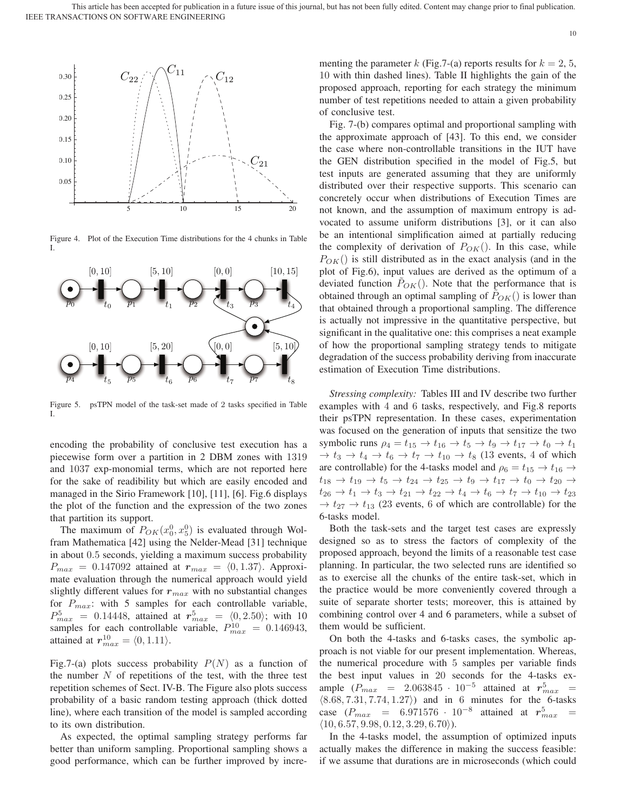

Figure 4. Plot of the Execution Time distributions for the 4 chunks in Table I.



Figure 5. psTPN model of the task-set made of 2 tasks specified in Table I.

encoding the probability of conclusive test execution has a piecewise form over a partition in 2 DBM zones with 1319 and 1037 exp-monomial terms, which are not reported here for the sake of readibility but which are easily encoded and managed in the Sirio Framework [10], [11], [6]. Fig.6 displays the plot of the function and the expression of the two zones that partition its support.

The maximum of  $P_{OK}(x_0^0, x_5^0)$  is evaluated through Wolfram Mathematica [42] using the Nelder-Mead [31] technique in about 0.5 seconds, yielding a maximum success probability  $P_{max} = 0.147092$  attained at  $r_{max} = \langle 0, 1.37 \rangle$ . Approximate evaluation through the numerical approach would yield slightly different values for  $r_{max}$  with no substantial changes for  $P_{max}$ : with 5 samples for each controllable variable,  $P_{max}^5 = 0.14448$ , attained at  $r_{max}^5 = \langle 0, 2.50 \rangle$ ; with 10 samples for each controllable variable,  $P_{max}^{10} = 0.146943$ , attained at  $r_{max}^{10} = \langle 0, 1.11 \rangle$ .

Fig.7-(a) plots success probability  $P(N)$  as a function of the number  $N$  of repetitions of the test, with the three test repetition schemes of Sect. IV-B. The Figure also plots success probability of a basic random testing approach (thick dotted line), where each transition of the model is sampled according to its own distribution.

As expected, the optimal sampling strategy performs far better than uniform sampling. Proportional sampling shows a good performance, which can be further improved by incre-

menting the parameter k (Fig. 7-(a) reports results for  $k = 2, 5$ , 10 with thin dashed lines). Table II highlights the gain of the proposed approach, reporting for each strategy the minimum number of test repetitions needed to attain a given probability of conclusive test.

Fig. 7-(b) compares optimal and proportional sampling with the approximate approach of [43]. To this end, we consider the case where non-controllable transitions in the IUT have the GEN distribution specified in the model of Fig.5, but test inputs are generated assuming that they are uniformly distributed over their respective supports. This scenario can concretely occur when distributions of Execution Times are not known, and the assumption of maximum entropy is advocated to assume uniform distributions [3], or it can also be an intentional simplification aimed at partially reducing the complexity of derivation of  $P_{OK}$ ). In this case, while  $P_{OK}$ () is still distributed as in the exact analysis (and in the plot of Fig.6), input values are derived as the optimum of a deviated function  $P_{OK}$ ). Note that the performance that is obtained through an optimal sampling of  $P_{OK}$ () is lower than that obtained through a proportional sampling. The difference is actually not impressive in the quantitative perspective, but significant in the qualitative one: this comprises a neat example of how the proportional sampling strategy tends to mitigate degradation of the success probability deriving from inaccurate estimation of Execution Time distributions.

*Stressing complexity:* Tables III and IV describe two further examples with 4 and 6 tasks, respectively, and Fig.8 reports their psTPN representation. In these cases, experimentation was focused on the generation of inputs that sensitize the two symbolic runs  $\rho_4 = t_{15} \rightarrow t_{16} \rightarrow t_5 \rightarrow t_9 \rightarrow t_{17} \rightarrow t_0 \rightarrow t_1$  $\rightarrow t_3 \rightarrow t_4 \rightarrow t_6 \rightarrow t_7 \rightarrow t_{10} \rightarrow t_8$  (13 events, 4 of which are controllable) for the 4-tasks model and  $\rho_6 = t_{15} \rightarrow t_{16} \rightarrow$  $t_{18} \rightarrow t_{19} \rightarrow t_5 \rightarrow t_{24} \rightarrow t_{25} \rightarrow t_9 \rightarrow t_{17} \rightarrow t_0 \rightarrow t_{20} \rightarrow$  $t_{26} \to t_1 \to t_3 \to t_{21} \to t_{22} \to t_4 \to t_6 \to t_7 \to t_{10} \to t_{23}$  $\rightarrow t_{27} \rightarrow t_{13}$  (23 events, 6 of which are controllable) for the 6-tasks model.

Both the task-sets and the target test cases are expressly designed so as to stress the factors of complexity of the proposed approach, beyond the limits of a reasonable test case planning. In particular, the two selected runs are identified so as to exercise all the chunks of the entire task-set, which in the practice would be more conveniently covered through a suite of separate shorter tests; moreover, this is attained by combining control over 4 and 6 parameters, while a subset of them would be sufficient.

On both the 4-tasks and 6-tasks cases, the symbolic approach is not viable for our present implementation. Whereas, the numerical procedure with 5 samples per variable finds the best input values in 20 seconds for the 4-tasks example  $(P_{max} = 2.063845 \cdot 10^{-5}$  attained at  $r_{max}^5$  =  $(8.68, 7.31, 7.74, 1.27)$  and in 6 minutes for the 6-tasks case  $(P_{max} = 6.971576 \cdot 10^{-8}$  attained at  $r_{max}^5 =$  $(10, 6.57, 9.98, 0.12, 3.29, 6.70).$ 

In the 4-tasks model, the assumption of optimized inputs actually makes the difference in making the success feasible: if we assume that durations are in microseconds (which could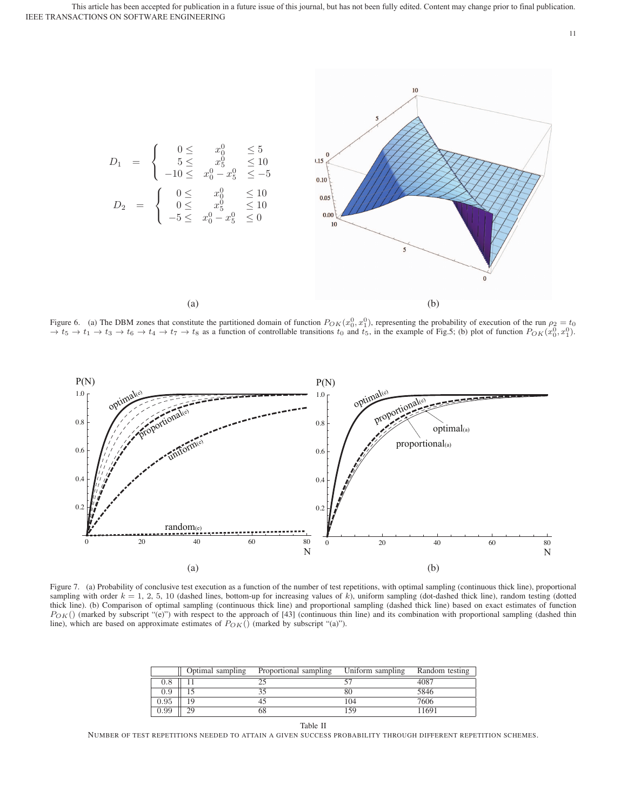

Figure 6. (a) The DBM zones that constitute the partitioned domain of function  $P_{OK}(x_0^0, x_1^0)$ , representing the probability of execution of the run  $\rho_2 = t_0 \rightarrow t_5 \rightarrow t_1 \rightarrow t_3 \rightarrow t_6 \rightarrow t_4 \rightarrow t_7 \rightarrow t_8$  as a function of contro



Figure 7. (a) Probability of conclusive test execution as a function of the number of test repetitions, with optimal sampling (continuous thick line), proportional sampling with order  $k = 1, 2, 5, 10$  (dashed lines, bottom-up for increasing values of k), uniform sampling (dot-dashed thick line), random testing (dotted thick line). (b) Comparison of optimal sampling (continuous thick line) and proportional sampling (dashed thick line) based on exact estimates of function  $P_{OK}$ () (marked by subscript "(e)") with respect to the approach of [43] (continuous thin line) and its combination with proportional sampling (dashed thin line), which are based on approximate estimates of  $P_{OK}()$  (marked by subscript "(a)").

|            | Optimal sampling | Proportional sampling | Uniform sampling | Random testing |
|------------|------------------|-----------------------|------------------|----------------|
| 1.8        |                  |                       |                  | 4087           |
| 0.9        |                  |                       |                  | 5846           |
| $\rm 0.95$ |                  |                       | 104              | 7606           |
| 0.99       | າດ               |                       | 59               | 1691           |

Table II

NUMBER OF TEST REPETITIONS NEEDED TO ATTAIN A GIVEN SUCCESS PROBABILITY THROUGH DIFFERENT REPETITION SCHEMES.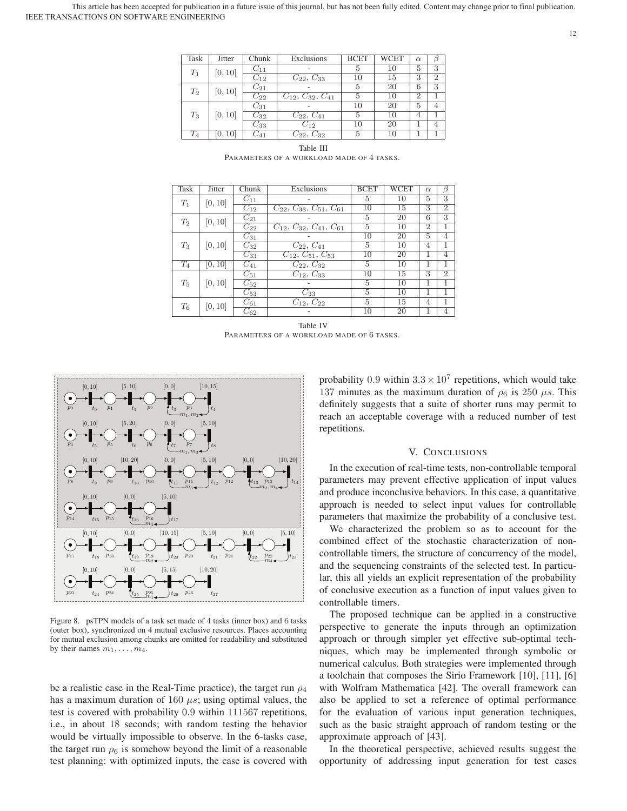IEEE TRANSACTIONS ON SOFTWARE ENGINEERING This article has been accepted for publication in a future issue of this journal, but has not been fully edited. Content may change prior to final publication.

| Task  | Jitter  | Chunk                 | Exclusions                     | <b>BCET</b> | WCET            | $\alpha$       | ß |
|-------|---------|-----------------------|--------------------------------|-------------|-----------------|----------------|---|
| $T_1$ | [0, 10] | $C_{11}$              |                                | 5           | 10              | 5              | 3 |
|       |         | $C_{12}$              | $C_{22}, C_{33}$               | 10          | 15              | 3              | 2 |
| $T_2$ | [0, 10] | $C_{21}$              |                                | 5           | 20              | 6              | 3 |
|       |         | $C_{22}$              | $C_{12}$ , $C_{32}$ , $C_{41}$ | 5           | $\overline{10}$ | $\overline{2}$ |   |
| $T_3$ | [0, 10] | $C_{31}$              |                                | 10          | 20              | 5              |   |
|       |         | $C_{32}$              | $C_{22}, \overline{C_{41}}$    | 5           | 10              | 4              |   |
|       |         | $C_{33}$              | $C_{12}$                       | 10          | 20              |                |   |
| $T_4$ | 10      | $\scriptstyle C_{41}$ | $C_{22}, C_{32}$               | 5           | 10              |                |   |

| Ľ'n                        | [0, 10] | - 1 1       |                          |    |        |   |                |
|----------------------------|---------|-------------|--------------------------|----|--------|---|----------------|
|                            |         | $C_{12}$    | $C_{22}, C_{33}$         | 10 | 15     | 3 | $\overline{2}$ |
| $\Gamma_2$                 | [0, 10] | $C_{21}$    |                          |    | 20     | 6 | 3              |
|                            |         | $C_{22}$    | $C_{12}, C_{32}, C_{41}$ |    | 10     | 2 |                |
|                            |         | $C_{31}$    |                          | 10 | 20     | 5 |                |
| $\mathit{\Gamma}_{3}$      | [0, 10] | $C_{32}$    | $C_{22}, C_{41}$         | G  | 10     |   |                |
|                            |         | $C_{33}$    | $C_{12}$                 | 10 | $20\,$ |   |                |
| $\overline{\mathcal{L}_4}$ | [0, 10] | $\cup_{41}$ | $C_{22}, C_{32}$         |    | 10     |   |                |
|                            |         |             |                          |    |        |   |                |

| Table III |                                           |
|-----------|-------------------------------------------|
|           | PARAMETERS OF A WORKLOAD MADE OF 4 TASKS. |

| Task  | Jitter  | Chunk               | Exclusions                       | <b>BCET</b>     | WCET | $\alpha$       | β              |
|-------|---------|---------------------|----------------------------------|-----------------|------|----------------|----------------|
| $T_1$ | [0, 10] | $C_{11}$            |                                  | 5               | 10   | 5              | 3              |
|       |         | $C_{12}$            | $C_{22}, C_{33}, C_{51}, C_{61}$ | $\overline{10}$ | 15   | 3              | $\overline{2}$ |
| $T_2$ | [0, 10] | $C_{21}$            |                                  | 5               | 20   | 6              | 3              |
|       |         | $C_{22}$            | $C_{12}, C_{32}, C_{41}, C_{61}$ | $\overline{5}$  | 10   | $\overline{2}$ | 1              |
|       | [0, 10] | $C_{31}$            |                                  | 10              | 20   | 5              | 4              |
| $T_3$ |         | $\overline{C_{32}}$ | $C_{22}, C_{41}$                 | 5               | 10   | $\overline{4}$ | 1              |
|       |         | $C_{33}$            | $C_{12}, C_{51}, C_{53}$         | 10              | 20   | T              | 4              |
| $T_4$ | [0, 10] | $C_{41}$            | $C_{22}, C_{32}$                 | 5               | 10   | 1              | 1              |
|       | [0, 10] | $C_{51}$            | $C_{12}$ , $C_{33}$              | 10              | 15   | 3              | $\overline{2}$ |
| $T_5$ |         | $C_{52}$            |                                  | $\overline{5}$  | 10   | 1              | 1              |
|       |         | $C_{53}$            | $C_{33}$                         | $\overline{5}$  | 10   | 1              |                |
| $T_6$ | [0, 10] | $C_{61}$            | $C_{12}, C_{22}$                 | 5               | 15   | $\overline{4}$ | 1              |
|       |         | $C_{62}$            |                                  | 10              | 20   |                | 4              |

Table IV PARAMETERS OF A WORKLOAD MADE OF 6 TASKS.



Figure 8. psTPN models of a task set made of 4 tasks (inner box) and 6 tasks (outer box), synchronized on 4 mutual exclusive resources. Places accounting for mutual exclusion among chunks are omitted for readability and substituted by their names  $m_1, \ldots, m_4$ .

be a realistic case in the Real-Time practice), the target run  $\rho_4$ has a maximum duration of 160  $\mu$ s; using optimal values, the test is covered with probability 0.9 within 111567 repetitions, i.e., in about 18 seconds; with random testing the behavior would be virtually impossible to observe. In the 6-tasks case, the target run  $\rho_6$  is somehow beyond the limit of a reasonable test planning: with optimized inputs, the case is covered with

probability 0.9 within  $3.3 \times 10^7$  repetitions, which would take 137 minutes as the maximum duration of  $\rho_6$  is 250  $\mu$ s. This definitely suggests that a suite of shorter runs may permit to reach an acceptable coverage with a reduced number of test repetitions.

## V. CONCLUSIONS

In the execution of real-time tests, non-controllable temporal parameters may prevent effective application of input values and produce inconclusive behaviors. In this case, a quantitative approach is needed to select input values for controllable parameters that maximize the probability of a conclusive test.

We characterized the problem so as to account for the combined effect of the stochastic characterization of noncontrollable timers, the structure of concurrency of the model, and the sequencing constraints of the selected test. In particular, this all yields an explicit representation of the probability of conclusive execution as a function of input values given to controllable timers.

The proposed technique can be applied in a constructive perspective to generate the inputs through an optimization approach or through simpler yet effective sub-optimal techniques, which may be implemented through symbolic or numerical calculus. Both strategies were implemented through a toolchain that composes the Sirio Framework [10], [11], [6] with Wolfram Mathematica [42]. The overall framework can also be applied to set a reference of optimal performance for the evaluation of various input generation techniques, such as the basic straight approach of random testing or the approximate approach of [43].

In the theoretical perspective, achieved results suggest the opportunity of addressing input generation for test cases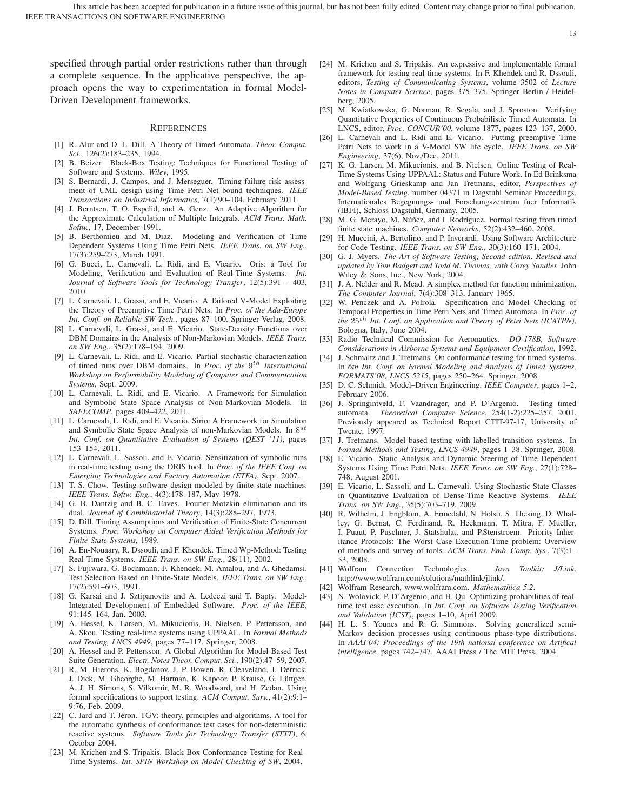specified through partial order restrictions rather than through a complete sequence. In the applicative perspective, the approach opens the way to experimentation in formal Model-Driven Development frameworks.

#### **REFERENCES**

- [1] R. Alur and D. L. Dill. A Theory of Timed Automata. *Theor. Comput. Sci.*, 126(2):183–235, 1994.
- [2] B. Beizer. Black-Box Testing: Techniques for Functional Testing of Software and Systems. *Wiley*, 1995.
- [3] S. Bernardi, J. Campos, and J. Merseguer. Timing-failure risk assessment of UML design using Time Petri Net bound techniques. *IEEE Transactions on Industrial Informatics*, 7(1):90–104, February 2011.
- [4] J. Berntsen, T. O. Espelid, and A. Genz. An Adaptive Algorithm for the Approximate Calculation of Multiple Integrals. *ACM Trans. Math. Softw.*, 17, December 1991.
- [5] B. Berthomieu and M. Diaz. Modeling and Verification of Time Dependent Systems Using Time Petri Nets. *IEEE Trans. on SW Eng.*, 17(3):259–273, March 1991.
- [6] G. Bucci, L. Carnevali, L. Ridi, and E. Vicario. Oris: a Tool for Modeling, Verification and Evaluation of Real-Time Systems. *Int. Journal of Software Tools for Technology Transfer*, 12(5):391 – 403, 2010.
- [7] L. Carnevali, L. Grassi, and E. Vicario. A Tailored V-Model Exploiting the Theory of Preemptive Time Petri Nets. In *Proc. of the Ada-Europe Int. Conf. on Reliable SW Tech.*, pages 87–100. Springer-Verlag, 2008.
- L. Carnevali, L. Grassi, and E. Vicario. State-Density Functions over DBM Domains in the Analysis of Non-Markovian Models. *IEEE Trans. on SW Eng.*, 35(2):178–194, 2009.
- [9] L. Carnevali, L. Ridi, and E. Vicario. Partial stochastic characterization of timed runs over DBM domains. In *Proc. of the* 9th *International Workshop on Performability Modeling of Computer and Communication Systems*, Sept. 2009.
- [10] L. Carnevali, L. Ridi, and E. Vicario. A Framework for Simulation and Symbolic State Space Analysis of Non-Markovian Models. In *SAFECOMP*, pages 409–422, 2011.
- [11] L. Carnevali, L. Ridi, and E. Vicario. Sirio: A Framework for Simulation and Symbolic State Space Analysis of non-Markovian Models. In  $8^{st}$ *Int. Conf. on Quantitative Evaluation of Systems (QEST '11)*, pages 153–154, 2011.
- [12] L. Carnevali, L. Sassoli, and E. Vicario. Sensitization of symbolic runs in real-time testing using the ORIS tool. In *Proc. of the IEEE Conf. on Emerging Technologies and Factory Automation (ETFA)*, Sept. 2007.
- [13] T. S. Chow. Testing software design modeled by finite-state machines. *IEEE Trans. Softw. Eng.*, 4(3):178–187, May 1978.
- [14] G. B. Dantzig and B. C. Eaves. Fourier-Motzkin elimination and its dual. *Journal of Combinatorial Theory*, 14(3):288–297, 1973.
- [15] D. Dill. Timing Assumptions and Verification of Finite-State Concurrent Systems. *Proc. Workshop on Computer Aided Verification Methods for Finite State Systems*, 1989.
- A. En-Nouaary, R. Dssouli, and F. Khendek. Timed Wp-Method: Testing Real-Time Systems. *IEEE Trans. on SW Eng.*, 28(11), 2002.
- [17] S. Fujiwara, G. Bochmann, F. Khendek, M. Amalou, and A. Ghedamsi. Test Selection Based on Finite-State Models. *IEEE Trans. on SW Eng.*, 17(2):591–603, 1991.
- [18] G. Karsai and J. Sztipanovits and A. Ledeczi and T. Bapty. Model-Integrated Development of Embedded Software. *Proc. of the IEEE*, 91:145–164, Jan. 2003.
- [19] A. Hessel, K. Larsen, M. Mikucionis, B. Nielsen, P. Pettersson, and A. Skou. Testing real-time systems using UPPAAL. In *Formal Methods and Testing, LNCS 4949*, pages 77–117. Springer, 2008.
- [20] A. Hessel and P. Pettersson. A Global Algorithm for Model-Based Test Suite Generation. *Electr. Notes Theor. Comput. Sci.*, 190(2):47–59, 2007.
- [21] R. M. Hierons, K. Bogdanov, J. P. Bowen, R. Cleaveland, J. Derrick, J. Dick, M. Gheorghe, M. Harman, K. Kapoor, P. Krause, G. Lüttgen, A. J. H. Simons, S. Vilkomir, M. R. Woodward, and H. Zedan. Using formal specifications to support testing. *ACM Comput. Surv.*, 41(2):9:1– 9:76, Feb. 2009.
- [22] C. Jard and T. Jéron. TGV: theory, principles and algorithms, A tool for the automatic synthesis of conformance test cases for non-deterministic reactive systems. *Software Tools for Technology Transfer (STTT)*, 6, October 2004.
- [23] M. Krichen and S. Tripakis. Black-Box Conformance Testing for Real– Time Systems. *Int. SPIN Workshop on Model Checking of SW*, 2004.

[24] M. Krichen and S. Tripakis. An expressive and implementable formal framework for testing real-time systems. In F. Khendek and R. Dssouli, editors, *Testing of Communicating Systems*, volume 3502 of *Lecture Notes in Computer Science*, pages 375–375. Springer Berlin / Heidelberg, 2005.

13

- [25] M. Kwiatkowska, G. Norman, R. Segala, and J. Sproston. Verifying Quantitative Properties of Continuous Probabilistic Timed Automata. In LNCS, editor, *Proc. CONCUR'00*, volume 1877, pages 123–137, 2000.
- [26] L. Carnevali and L. Ridi and E. Vicario. Putting preemptive Time Petri Nets to work in a V-Model SW life cycle. *IEEE Trans. on SW Engineering*, 37(6), Nov./Dec. 2011.
- [27] K. G. Larsen, M. Mikucionis, and B. Nielsen. Online Testing of Real-Time Systems Using UPPAAL: Status and Future Work. In Ed Brinksma and Wolfgang Grieskamp and Jan Tretmans, editor, *Perspectives of Model-Based Testing*, number 04371 in Dagstuhl Seminar Proceedings. Internationales Begegnungs- und Forschungszentrum fuer Informatik (IBFI), Schloss Dagstuhl, Germany, 2005.
- [28] M. G. Merayo, M. Núñez, and I. Rodríguez. Formal testing from timed finite state machines. *Computer Networks*, 52(2):432–460, 2008.
- [29] H. Muccini, A. Bertolino, and P. Inverardi. Using Software Architecture for Code Testing. *IEEE Trans. on SW Eng.*, 30(3):160–171, 2004.
- [30] G. J. Myers. *The Art of Software Testing, Second edition. Revised and updated by Tom Badgett and Todd M. Thomas, with Corey Sandler.* John Wiley & Sons, Inc., New York, 2004.
- [31] J. A. Nelder and R. Mead. A simplex method for function minimization. *The Computer Journal*, 7(4):308–313, January 1965.
- [32] W. Penczek and A. Polrola. Specification and Model Checking of Temporal Properties in Time Petri Nets and Timed Automata. In *Proc. of the* 25th *Int. Conf. on Application and Theory of Petri Nets (ICATPN)*, Bologna, Italy, June 2004.
- [33] Radio Technical Commission for Aeronautics. *DO-178B, Software Considerations in Airborne Systems and Equipment Certification*, 1992.
- [34] J. Schmaltz and J. Tretmans. On conformance testing for timed systems. In *6th Int. Conf. on Formal Modeling and Analysis of Timed Systems, FORMATS'08, LNCS 5215*, pages 250–264. Springer, 2008.
- [35] D. C. Schmidt. Model–Driven Engineering. *IEEE Computer*, pages 1–2, February 2006.
- [36] J. Springintveld, F. Vaandrager, and P. D'Argenio. Testing timed automata. *Theoretical Computer Science*, 254(1-2):225–257, 2001. Previously appeared as Technical Report CTIT-97-17, University of Twente, 1997.
- [37] J. Tretmans. Model based testing with labelled transition systems. In *Formal Methods and Testing, LNCS 4949*, pages 1–38. Springer, 2008.
- [38] E. Vicario. Static Analysis and Dynamic Steering of Time Dependent Systems Using Time Petri Nets. *IEEE Trans. on SW Eng.*, 27(1):728– 748, August 2001.
- [39] E. Vicario, L. Sassoli, and L. Carnevali. Using Stochastic State Classes in Quantitative Evaluation of Dense-Time Reactive Systems. *IEEE Trans. on SW Eng.*, 35(5):703–719, 2009.
- [40] R. Wilhelm, J. Engblom, A. Ermedahl, N. Holsti, S. Thesing, D. Whalley, G. Bernat, C. Ferdinand, R. Heckmann, T. Mitra, F. Mueller, I. Puaut, P. Puschner, J. Statshulat, and P.Stenstroem. Priority Inheritance Protocols: The Worst Case Execution-Time problem: Overview of methods and survey of tools. *ACM Trans. Emb. Comp. Sys.*, 7(3):1– 53, 2008.
- [41] Wolfram Connection Technologies. *Java Toolkit: J/Link*. http://www.wolfram.com/solutions/mathlink/jlink/.
- [42] Wolfram Research, www.wolfram.com. *Mathemathica 5.2*.
- [43] N. Wolovick, P. D'Argenio, and H. Qu. Optimizing probabilities of realtime test case execution. In *Int. Conf. on Software Testing Verification and Validation (ICST)*, pages 1–10, April 2009.
- [44] H. L. S. Younes and R. G. Simmons. Solving generalized semi-Markov decision processes using continuous phase-type distributions. In *AAAI'04: Proceedings of the 19th national conference on Artifical intelligence*, pages 742–747. AAAI Press / The MIT Press, 2004.